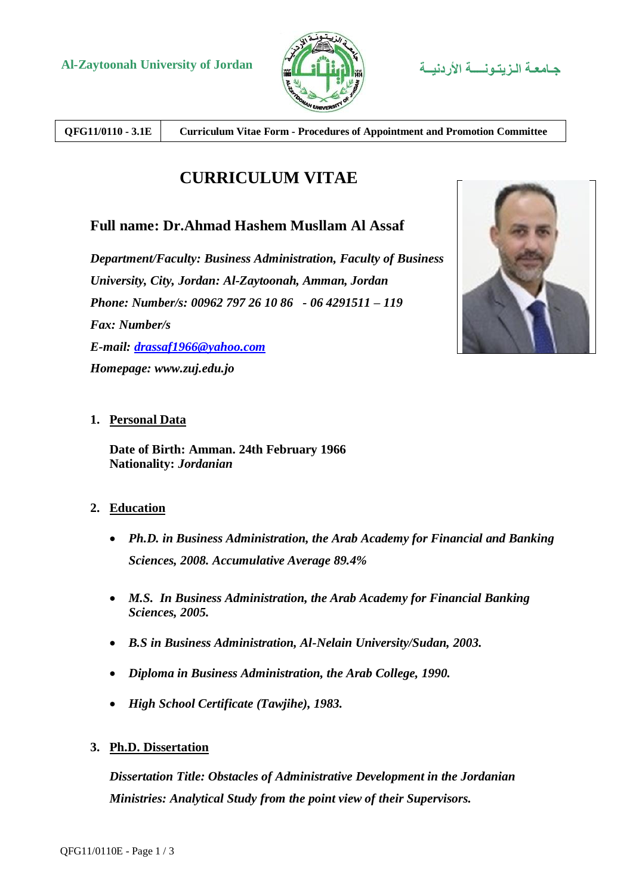

**QFG11/0110 - 3.1E Curriculum Vitae Form - Procedures of Appointment and Promotion Committee**

# **CURRICULUM VITAE**

# **Full name: Dr.Ahmad Hashem Musllam Al Assaf**

*Department/Faculty: Business Administration, Faculty of Business University, City, Jordan: Al-Zaytoonah, Amman, Jordan Phone: Number/s: 00962 797 26 10 86 - 06 4291511 – 119 Fax: Number/s E-mail: [drassaf1966@yahoo.com](mailto:drassaf1966@yahoo.com) Homepage: www.zuj.edu.jo*



## **1. Personal Data**

**Date of Birth: Amman. 24th February 1966 Nationality:** *Jordanian*

## **2. Education**

- *Ph.D. in Business Administration, the Arab Academy for Financial and Banking Sciences, 2008. Accumulative Average 89.4%*
- *M.S. In Business Administration, the Arab Academy for Financial Banking Sciences, 2005.*
- *B.S in Business Administration, Al-Nelain University/Sudan, 2003.*
- *Diploma in Business Administration, the Arab College, 1990.*
- *High School Certificate (Tawjihe), 1983.*

## **3. Ph.D. Dissertation**

*Dissertation Title: Obstacles of Administrative Development in the Jordanian Ministries: Analytical Study from the point view of their Supervisors.*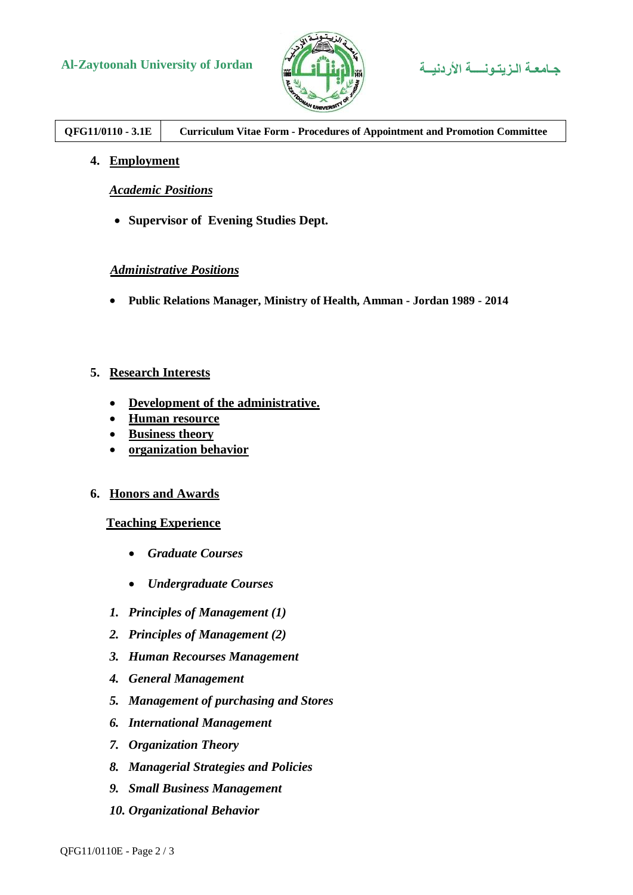# **Al-Zaytoonah University of Jordan األردنيــة الـزيتـونــــة جـامعـة**





# **QFG11/0110 - 3.1E Curriculum Vitae Form - Procedures of Appointment and Promotion Committee**

**4. Employment**

*Academic Positions*

**Supervisor of Evening Studies Dept.**

#### *Administrative Positions*

**Public Relations Manager, Ministry of Health, Amman - Jordan 1989 - 2014**

#### **5. Research Interests**

- **Development of the administrative.**
- **Human resource**
- **Business theory**
- **organization behavior**

#### **6. Honors and Awards**

#### **Teaching Experience**

- *Graduate Courses*
- *Undergraduate Courses*
- *1. Principles of Management (1)*
- *2. Principles of Management (2)*
- *3. Human Recourses Management*
- *4. General Management*
- *5. Management of purchasing and Stores*
- *6. International Management*
- *7. Organization Theory*
- *8. Managerial Strategies and Policies*
- *9. Small Business Management*
- *10. Organizational Behavior*